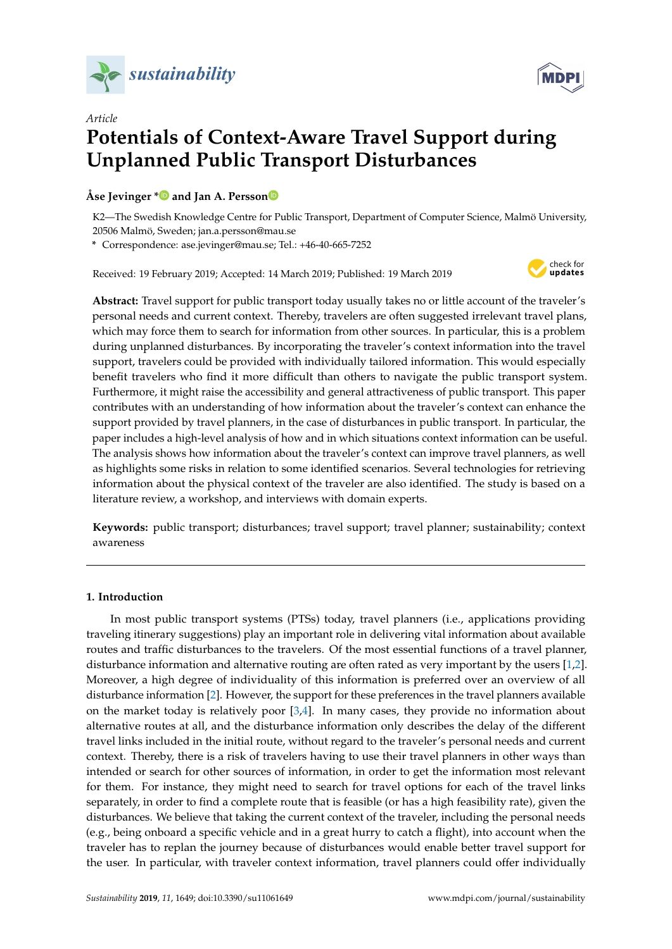



# *Article* **Potentials of Context-Aware Travel Support during Unplanned Public Transport Disturbances**

# **Åse Jevinger [\\*](https://orcid.org/0000-0002-6019-1182) and Jan A. Persso[n](https://orcid.org/0000-0002-9471-8405)**

K2—The Swedish Knowledge Centre for Public Transport, Department of Computer Science, Malmö University, 20506 Malmö, Sweden; jan.a.persson@mau.se

**\*** Correspondence: ase.jevinger@mau.se; Tel.: +46-40-665-7252

Received: 19 February 2019; Accepted: 14 March 2019; Published: 19 March 2019



**Abstract:** Travel support for public transport today usually takes no or little account of the traveler's personal needs and current context. Thereby, travelers are often suggested irrelevant travel plans, which may force them to search for information from other sources. In particular, this is a problem during unplanned disturbances. By incorporating the traveler's context information into the travel support, travelers could be provided with individually tailored information. This would especially benefit travelers who find it more difficult than others to navigate the public transport system. Furthermore, it might raise the accessibility and general attractiveness of public transport. This paper contributes with an understanding of how information about the traveler's context can enhance the support provided by travel planners, in the case of disturbances in public transport. In particular, the paper includes a high-level analysis of how and in which situations context information can be useful. The analysis shows how information about the traveler's context can improve travel planners, as well as highlights some risks in relation to some identified scenarios. Several technologies for retrieving information about the physical context of the traveler are also identified. The study is based on a literature review, a workshop, and interviews with domain experts.

**Keywords:** public transport; disturbances; travel support; travel planner; sustainability; context awareness

## **1. Introduction**

In most public transport systems (PTSs) today, travel planners (i.e., applications providing traveling itinerary suggestions) play an important role in delivering vital information about available routes and traffic disturbances to the travelers. Of the most essential functions of a travel planner, disturbance information and alternative routing are often rated as very important by the users [\[1,](#page-18-0)[2\]](#page-18-1). Moreover, a high degree of individuality of this information is preferred over an overview of all disturbance information [\[2\]](#page-18-1). However, the support for these preferences in the travel planners available on the market today is relatively poor  $[3,4]$  $[3,4]$ . In many cases, they provide no information about alternative routes at all, and the disturbance information only describes the delay of the different travel links included in the initial route, without regard to the traveler's personal needs and current context. Thereby, there is a risk of travelers having to use their travel planners in other ways than intended or search for other sources of information, in order to get the information most relevant for them. For instance, they might need to search for travel options for each of the travel links separately, in order to find a complete route that is feasible (or has a high feasibility rate), given the disturbances. We believe that taking the current context of the traveler, including the personal needs (e.g., being onboard a specific vehicle and in a great hurry to catch a flight), into account when the traveler has to replan the journey because of disturbances would enable better travel support for the user. In particular, with traveler context information, travel planners could offer individually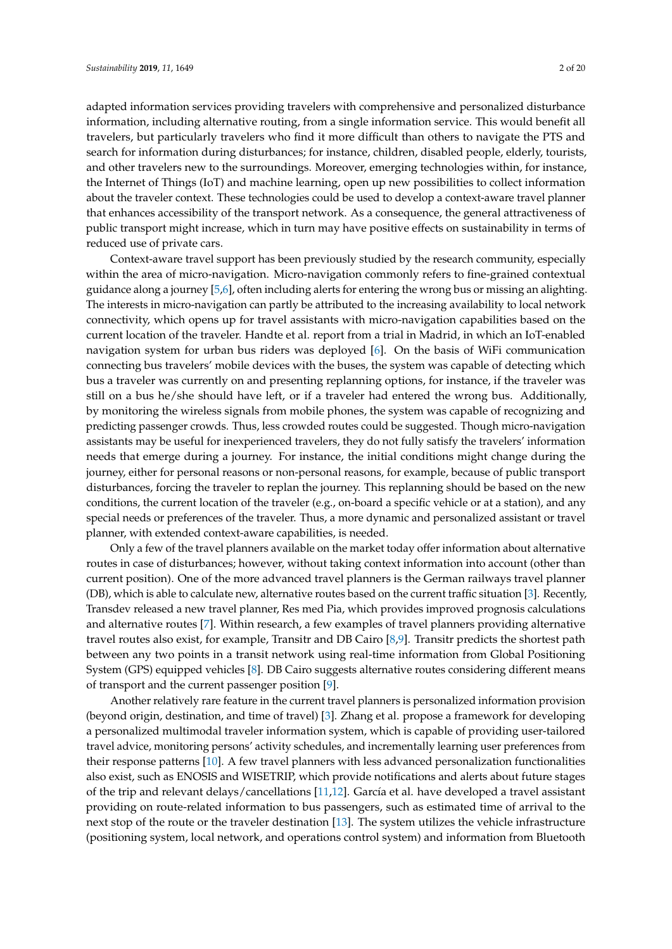adapted information services providing travelers with comprehensive and personalized disturbance information, including alternative routing, from a single information service. This would benefit all travelers, but particularly travelers who find it more difficult than others to navigate the PTS and search for information during disturbances; for instance, children, disabled people, elderly, tourists, and other travelers new to the surroundings. Moreover, emerging technologies within, for instance, the Internet of Things (IoT) and machine learning, open up new possibilities to collect information about the traveler context. These technologies could be used to develop a context-aware travel planner that enhances accessibility of the transport network. As a consequence, the general attractiveness of public transport might increase, which in turn may have positive effects on sustainability in terms of reduced use of private cars.

Context-aware travel support has been previously studied by the research community, especially within the area of micro-navigation. Micro-navigation commonly refers to fine-grained contextual guidance along a journey [\[5](#page-18-4)[,6\]](#page-18-5), often including alerts for entering the wrong bus or missing an alighting. The interests in micro-navigation can partly be attributed to the increasing availability to local network connectivity, which opens up for travel assistants with micro-navigation capabilities based on the current location of the traveler. Handte et al. report from a trial in Madrid, in which an IoT-enabled navigation system for urban bus riders was deployed [\[6\]](#page-18-5). On the basis of WiFi communication connecting bus travelers' mobile devices with the buses, the system was capable of detecting which bus a traveler was currently on and presenting replanning options, for instance, if the traveler was still on a bus he/she should have left, or if a traveler had entered the wrong bus. Additionally, by monitoring the wireless signals from mobile phones, the system was capable of recognizing and predicting passenger crowds. Thus, less crowded routes could be suggested. Though micro-navigation assistants may be useful for inexperienced travelers, they do not fully satisfy the travelers' information needs that emerge during a journey. For instance, the initial conditions might change during the journey, either for personal reasons or non-personal reasons, for example, because of public transport disturbances, forcing the traveler to replan the journey. This replanning should be based on the new conditions, the current location of the traveler (e.g., on-board a specific vehicle or at a station), and any special needs or preferences of the traveler. Thus, a more dynamic and personalized assistant or travel planner, with extended context-aware capabilities, is needed.

Only a few of the travel planners available on the market today offer information about alternative routes in case of disturbances; however, without taking context information into account (other than current position). One of the more advanced travel planners is the German railways travel planner (DB), which is able to calculate new, alternative routes based on the current traffic situation [\[3\]](#page-18-2). Recently, Transdev released a new travel planner, Res med Pia, which provides improved prognosis calculations and alternative routes [\[7\]](#page-18-6). Within research, a few examples of travel planners providing alternative travel routes also exist, for example, Transitr and DB Cairo [\[8](#page-18-7)[,9\]](#page-18-8). Transitr predicts the shortest path between any two points in a transit network using real-time information from Global Positioning System (GPS) equipped vehicles [\[8\]](#page-18-7). DB Cairo suggests alternative routes considering different means of transport and the current passenger position [\[9\]](#page-18-8).

Another relatively rare feature in the current travel planners is personalized information provision (beyond origin, destination, and time of travel) [\[3\]](#page-18-2). Zhang et al. propose a framework for developing a personalized multimodal traveler information system, which is capable of providing user-tailored travel advice, monitoring persons' activity schedules, and incrementally learning user preferences from their response patterns [\[10\]](#page-18-9). A few travel planners with less advanced personalization functionalities also exist, such as ENOSIS and WISETRIP, which provide notifications and alerts about future stages of the trip and relevant delays/cancellations [\[11,](#page-18-10)[12\]](#page-18-11). García et al. have developed a travel assistant providing on route-related information to bus passengers, such as estimated time of arrival to the next stop of the route or the traveler destination [\[13\]](#page-18-12). The system utilizes the vehicle infrastructure (positioning system, local network, and operations control system) and information from Bluetooth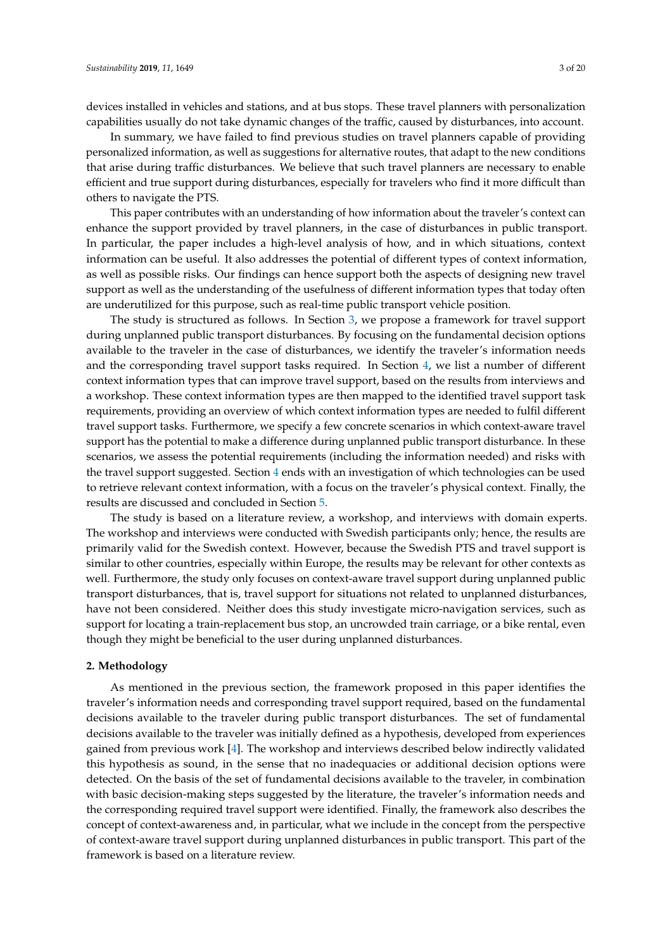devices installed in vehicles and stations, and at bus stops. These travel planners with personalization capabilities usually do not take dynamic changes of the traffic, caused by disturbances, into account.

In summary, we have failed to find previous studies on travel planners capable of providing personalized information, as well as suggestions for alternative routes, that adapt to the new conditions that arise during traffic disturbances. We believe that such travel planners are necessary to enable efficient and true support during disturbances, especially for travelers who find it more difficult than others to navigate the PTS.

This paper contributes with an understanding of how information about the traveler's context can enhance the support provided by travel planners, in the case of disturbances in public transport. In particular, the paper includes a high-level analysis of how, and in which situations, context information can be useful. It also addresses the potential of different types of context information, as well as possible risks. Our findings can hence support both the aspects of designing new travel support as well as the understanding of the usefulness of different information types that today often are underutilized for this purpose, such as real-time public transport vehicle position.

The study is structured as follows. In Section [3,](#page-4-0) we propose a framework for travel support during unplanned public transport disturbances. By focusing on the fundamental decision options available to the traveler in the case of disturbances, we identify the traveler's information needs and the corresponding travel support tasks required. In Section [4,](#page-7-0) we list a number of different context information types that can improve travel support, based on the results from interviews and a workshop. These context information types are then mapped to the identified travel support task requirements, providing an overview of which context information types are needed to fulfil different travel support tasks. Furthermore, we specify a few concrete scenarios in which context-aware travel support has the potential to make a difference during unplanned public transport disturbance. In these scenarios, we assess the potential requirements (including the information needed) and risks with the travel support suggested. Section [4](#page-7-0) ends with an investigation of which technologies can be used to retrieve relevant context information, with a focus on the traveler's physical context. Finally, the results are discussed and concluded in Section [5.](#page-13-0)

The study is based on a literature review, a workshop, and interviews with domain experts. The workshop and interviews were conducted with Swedish participants only; hence, the results are primarily valid for the Swedish context. However, because the Swedish PTS and travel support is similar to other countries, especially within Europe, the results may be relevant for other contexts as well. Furthermore, the study only focuses on context-aware travel support during unplanned public transport disturbances, that is, travel support for situations not related to unplanned disturbances, have not been considered. Neither does this study investigate micro-navigation services, such as support for locating a train-replacement bus stop, an uncrowded train carriage, or a bike rental, even though they might be beneficial to the user during unplanned disturbances.

#### **2. Methodology**

As mentioned in the previous section, the framework proposed in this paper identifies the traveler's information needs and corresponding travel support required, based on the fundamental decisions available to the traveler during public transport disturbances. The set of fundamental decisions available to the traveler was initially defined as a hypothesis, developed from experiences gained from previous work [\[4\]](#page-18-3). The workshop and interviews described below indirectly validated this hypothesis as sound, in the sense that no inadequacies or additional decision options were detected. On the basis of the set of fundamental decisions available to the traveler, in combination with basic decision-making steps suggested by the literature, the traveler's information needs and the corresponding required travel support were identified. Finally, the framework also describes the concept of context-awareness and, in particular, what we include in the concept from the perspective of context-aware travel support during unplanned disturbances in public transport. This part of the framework is based on a literature review.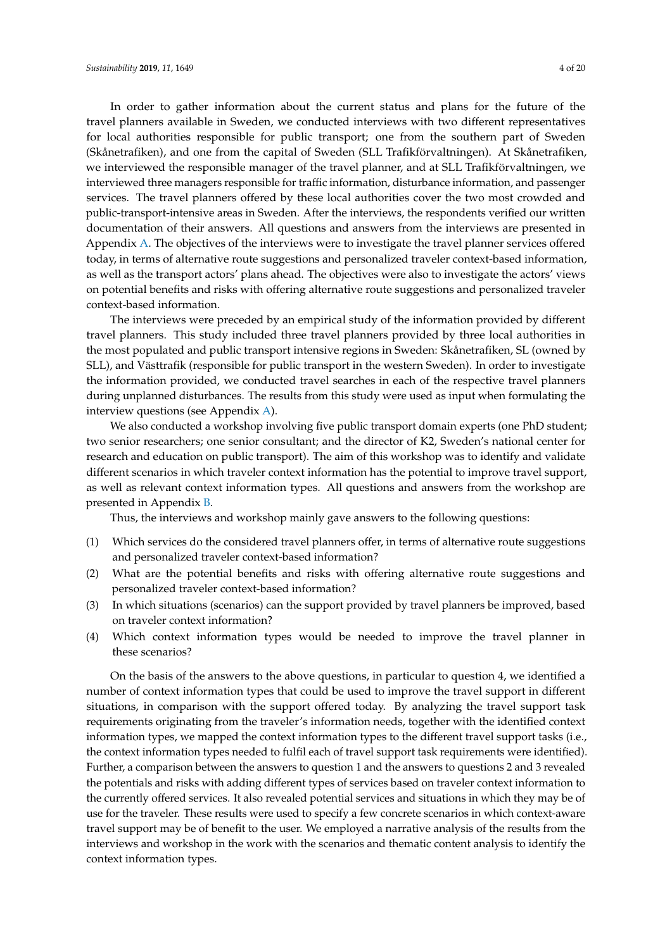In order to gather information about the current status and plans for the future of the travel planners available in Sweden, we conducted interviews with two different representatives for local authorities responsible for public transport; one from the southern part of Sweden (Skånetrafiken), and one from the capital of Sweden (SLL Trafikförvaltningen). At Skånetrafiken, we interviewed the responsible manager of the travel planner, and at SLL Trafikförvaltningen, we interviewed three managers responsible for traffic information, disturbance information, and passenger services. The travel planners offered by these local authorities cover the two most crowded and public-transport-intensive areas in Sweden. After the interviews, the respondents verified our written documentation of their answers. All questions and answers from the interviews are presented in Appendix [A.](#page-15-0) The objectives of the interviews were to investigate the travel planner services offered today, in terms of alternative route suggestions and personalized traveler context-based information, as well as the transport actors' plans ahead. The objectives were also to investigate the actors' views on potential benefits and risks with offering alternative route suggestions and personalized traveler context-based information.

The interviews were preceded by an empirical study of the information provided by different travel planners. This study included three travel planners provided by three local authorities in the most populated and public transport intensive regions in Sweden: Skånetrafiken, SL (owned by SLL), and Västtrafik (responsible for public transport in the western Sweden). In order to investigate the information provided, we conducted travel searches in each of the respective travel planners during unplanned disturbances. The results from this study were used as input when formulating the interview questions (see Appendix [A\)](#page-15-0).

We also conducted a workshop involving five public transport domain experts (one PhD student; two senior researchers; one senior consultant; and the director of K2, Sweden's national center for research and education on public transport). The aim of this workshop was to identify and validate different scenarios in which traveler context information has the potential to improve travel support, as well as relevant context information types. All questions and answers from the workshop are presented in Appendix [B.](#page-16-0)

Thus, the interviews and workshop mainly gave answers to the following questions:

- (1) Which services do the considered travel planners offer, in terms of alternative route suggestions and personalized traveler context-based information?
- (2) What are the potential benefits and risks with offering alternative route suggestions and personalized traveler context-based information?
- (3) In which situations (scenarios) can the support provided by travel planners be improved, based on traveler context information?
- (4) Which context information types would be needed to improve the travel planner in these scenarios?

On the basis of the answers to the above questions, in particular to question 4, we identified a number of context information types that could be used to improve the travel support in different situations, in comparison with the support offered today. By analyzing the travel support task requirements originating from the traveler's information needs, together with the identified context information types, we mapped the context information types to the different travel support tasks (i.e., the context information types needed to fulfil each of travel support task requirements were identified). Further, a comparison between the answers to question 1 and the answers to questions 2 and 3 revealed the potentials and risks with adding different types of services based on traveler context information to the currently offered services. It also revealed potential services and situations in which they may be of use for the traveler. These results were used to specify a few concrete scenarios in which context-aware travel support may be of benefit to the user. We employed a narrative analysis of the results from the interviews and workshop in the work with the scenarios and thematic content analysis to identify the context information types.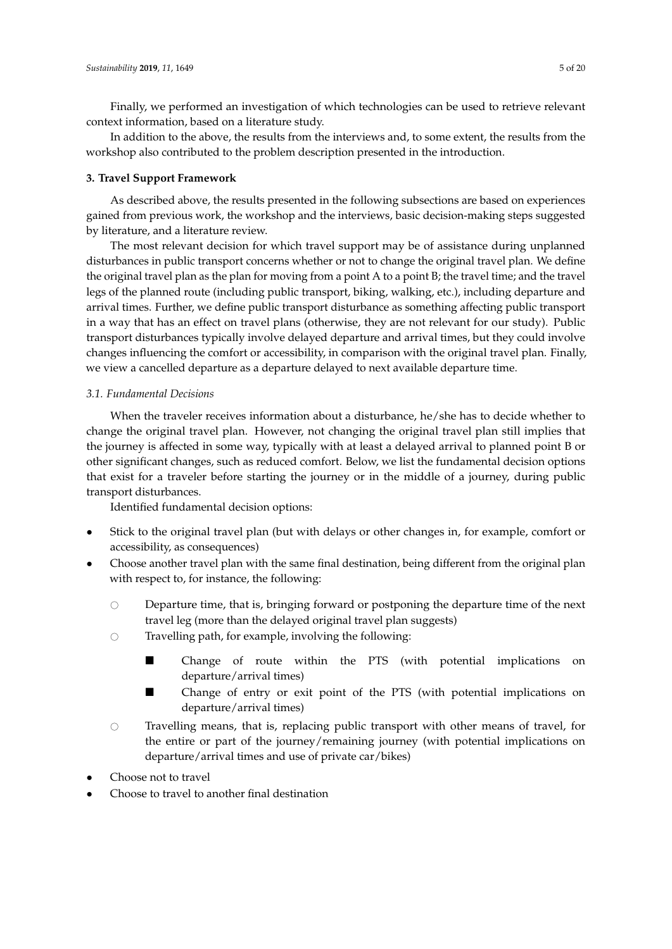Finally, we performed an investigation of which technologies can be used to retrieve relevant context information, based on a literature study.

In addition to the above, the results from the interviews and, to some extent, the results from the workshop also contributed to the problem description presented in the introduction.

#### <span id="page-4-0"></span>**3. Travel Support Framework**

As described above, the results presented in the following subsections are based on experiences gained from previous work, the workshop and the interviews, basic decision-making steps suggested by literature, and a literature review.

The most relevant decision for which travel support may be of assistance during unplanned disturbances in public transport concerns whether or not to change the original travel plan. We define the original travel plan as the plan for moving from a point A to a point B; the travel time; and the travel legs of the planned route (including public transport, biking, walking, etc.), including departure and arrival times. Further, we define public transport disturbance as something affecting public transport in a way that has an effect on travel plans (otherwise, they are not relevant for our study). Public transport disturbances typically involve delayed departure and arrival times, but they could involve changes influencing the comfort or accessibility, in comparison with the original travel plan. Finally, we view a cancelled departure as a departure delayed to next available departure time.

#### <span id="page-4-1"></span>*3.1. Fundamental Decisions*

When the traveler receives information about a disturbance, he/she has to decide whether to change the original travel plan. However, not changing the original travel plan still implies that the journey is affected in some way, typically with at least a delayed arrival to planned point B or other significant changes, such as reduced comfort. Below, we list the fundamental decision options that exist for a traveler before starting the journey or in the middle of a journey, during public transport disturbances.

Identified fundamental decision options:

- Stick to the original travel plan (but with delays or other changes in, for example, comfort or accessibility, as consequences)
- Choose another travel plan with the same final destination, being different from the original plan with respect to, for instance, the following:
	- $\circ$  Departure time, that is, bringing forward or postponing the departure time of the next travel leg (more than the delayed original travel plan suggests)
	- $\circ$  Travelling path, for example, involving the following:
		- Change of route within the PTS (with potential implications on departure/arrival times)
		- Change of entry or exit point of the PTS (with potential implications on departure/arrival times)
	- $\circ$  Travelling means, that is, replacing public transport with other means of travel, for the entire or part of the journey/remaining journey (with potential implications on departure/arrival times and use of private car/bikes)
- Choose not to travel
- Choose to travel to another final destination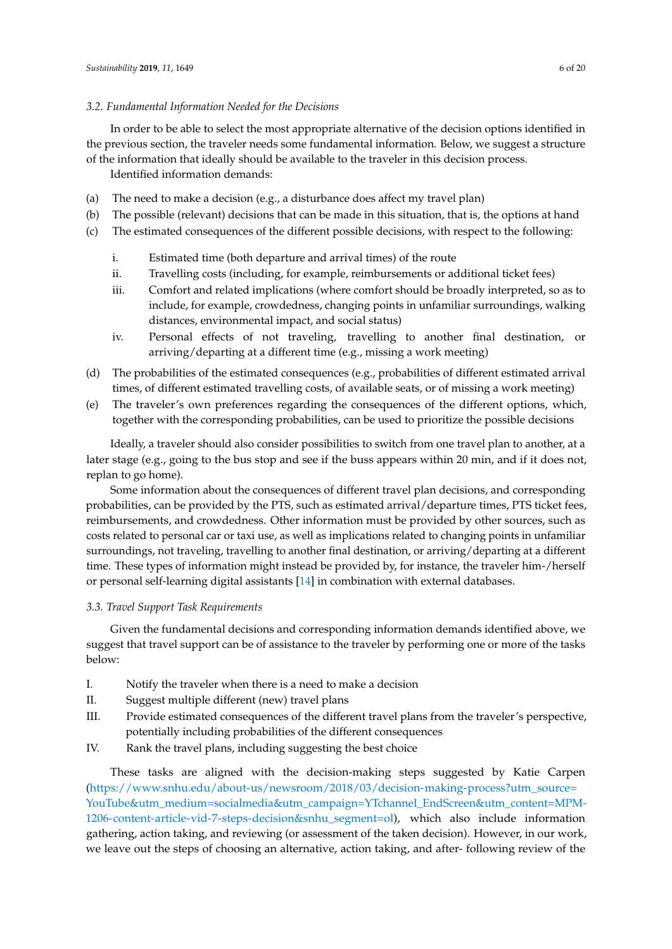## <span id="page-5-1"></span>*3.2. Fundamental Information Needed for the Decisions*

In order to be able to select the most appropriate alternative of the decision options identified in the previous section, the traveler needs some fundamental information. Below, we suggest a structure of the information that ideally should be available to the traveler in this decision process. Identified information demands:

(a) The need to make a decision (e.g., a disturbance does affect my travel plan)

- (b) The possible (relevant) decisions that can be made in this situation, that is, the options at hand
- (c) The estimated consequences of the different possible decisions, with respect to the following:
	- i. Estimated time (both departure and arrival times) of the route
	- ii. Travelling costs (including, for example, reimbursements or additional ticket fees)
	- iii. Comfort and related implications (where comfort should be broadly interpreted, so as to include, for example, crowdedness, changing points in unfamiliar surroundings, walking distances, environmental impact, and social status)
	- iv. Personal effects of not traveling, travelling to another final destination, or arriving/departing at a different time (e.g., missing a work meeting)
- (d) The probabilities of the estimated consequences (e.g., probabilities of different estimated arrival times, of different estimated travelling costs, of available seats, or of missing a work meeting)
- (e) The traveler's own preferences regarding the consequences of the different options, which, together with the corresponding probabilities, can be used to prioritize the possible decisions

Ideally, a traveler should also consider possibilities to switch from one travel plan to another, at a later stage (e.g., going to the bus stop and see if the buss appears within 20 min, and if it does not, replan to go home).

Some information about the consequences of different travel plan decisions, and corresponding probabilities, can be provided by the PTS, such as estimated arrival/departure times, PTS ticket fees, reimbursements, and crowdedness. Other information must be provided by other sources, such as costs related to personal car or taxi use, as well as implications related to changing points in unfamiliar surroundings, not traveling, travelling to another final destination, or arriving/departing at a different time. These types of information might instead be provided by, for instance, the traveler him-/herself or personal self-learning digital assistants [\[14\]](#page-18-13) in combination with external databases.

# <span id="page-5-0"></span>*3.3. Travel Support Task Requirements*

Given the fundamental decisions and corresponding information demands identified above, we suggest that travel support can be of assistance to the traveler by performing one or more of the tasks below:

- I. Notify the traveler when there is a need to make a decision
- II. Suggest multiple different (new) travel plans
- III. Provide estimated consequences of the different travel plans from the traveler's perspective, potentially including probabilities of the different consequences
- IV. Rank the travel plans, including suggesting the best choice

These tasks are aligned with the decision-making steps suggested by Katie Carpen [\(https://www.snhu.edu/about-us/newsroom/2018/03/decision-making-process?utm\\_source=](https://www.snhu.edu/about-us/newsroom/2018/03/decision-making-process?utm_source=YouTube&utm_medium=socialmedia&utm_campaign=YTchannel_EndScreen&utm_content=MPM-1206-content-article-vid-7-steps-decision&snhu_segment=ol) [YouTube&utm\\_medium=socialmedia&utm\\_campaign=YTchannel\\_EndScreen&utm\\_content=MPM-](https://www.snhu.edu/about-us/newsroom/2018/03/decision-making-process?utm_source=YouTube&utm_medium=socialmedia&utm_campaign=YTchannel_EndScreen&utm_content=MPM-1206-content-article-vid-7-steps-decision&snhu_segment=ol)[1206-content-article-vid-7-steps-decision&snhu\\_segment=ol\)](https://www.snhu.edu/about-us/newsroom/2018/03/decision-making-process?utm_source=YouTube&utm_medium=socialmedia&utm_campaign=YTchannel_EndScreen&utm_content=MPM-1206-content-article-vid-7-steps-decision&snhu_segment=ol), which also include information gathering, action taking, and reviewing (or assessment of the taken decision). However, in our work, we leave out the steps of choosing an alternative, action taking, and after- following review of the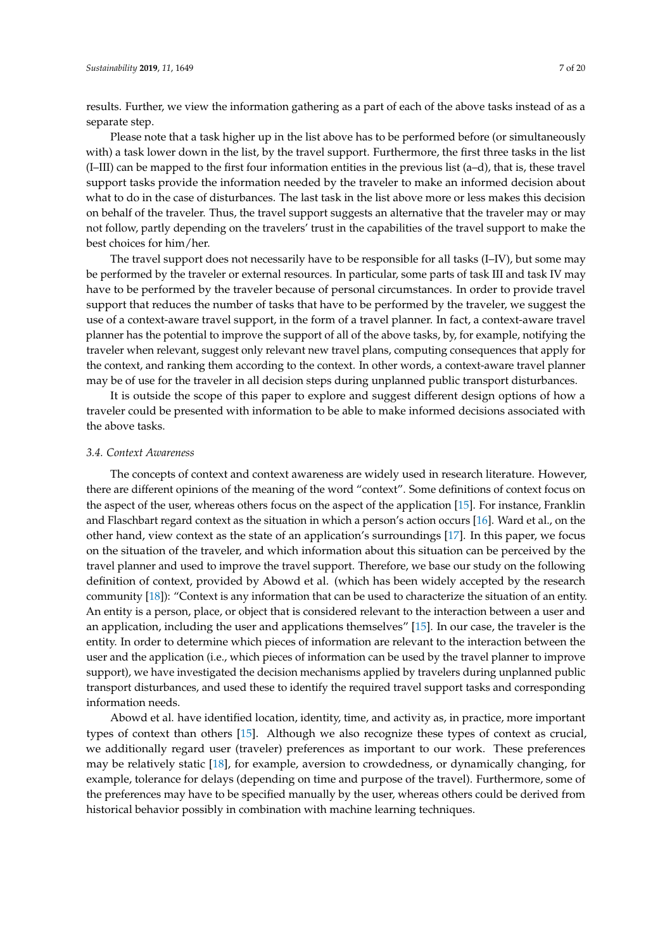results. Further, we view the information gathering as a part of each of the above tasks instead of as a separate step.

Please note that a task higher up in the list above has to be performed before (or simultaneously with) a task lower down in the list, by the travel support. Furthermore, the first three tasks in the list (I–III) can be mapped to the first four information entities in the previous list (a–d), that is, these travel support tasks provide the information needed by the traveler to make an informed decision about what to do in the case of disturbances. The last task in the list above more or less makes this decision on behalf of the traveler. Thus, the travel support suggests an alternative that the traveler may or may not follow, partly depending on the travelers' trust in the capabilities of the travel support to make the best choices for him/her.

The travel support does not necessarily have to be responsible for all tasks (I–IV), but some may be performed by the traveler or external resources. In particular, some parts of task III and task IV may have to be performed by the traveler because of personal circumstances. In order to provide travel support that reduces the number of tasks that have to be performed by the traveler, we suggest the use of a context-aware travel support, in the form of a travel planner. In fact, a context-aware travel planner has the potential to improve the support of all of the above tasks, by, for example, notifying the traveler when relevant, suggest only relevant new travel plans, computing consequences that apply for the context, and ranking them according to the context. In other words, a context-aware travel planner may be of use for the traveler in all decision steps during unplanned public transport disturbances.

It is outside the scope of this paper to explore and suggest different design options of how a traveler could be presented with information to be able to make informed decisions associated with the above tasks.

#### *3.4. Context Awareness*

The concepts of context and context awareness are widely used in research literature. However, there are different opinions of the meaning of the word "context". Some definitions of context focus on the aspect of the user, whereas others focus on the aspect of the application [\[15\]](#page-19-0). For instance, Franklin and Flaschbart regard context as the situation in which a person's action occurs [\[16\]](#page-19-1). Ward et al., on the other hand, view context as the state of an application's surroundings [\[17\]](#page-19-2). In this paper, we focus on the situation of the traveler, and which information about this situation can be perceived by the travel planner and used to improve the travel support. Therefore, we base our study on the following definition of context, provided by Abowd et al. (which has been widely accepted by the research community [\[18\]](#page-19-3)): "Context is any information that can be used to characterize the situation of an entity. An entity is a person, place, or object that is considered relevant to the interaction between a user and an application, including the user and applications themselves" [\[15\]](#page-19-0). In our case, the traveler is the entity. In order to determine which pieces of information are relevant to the interaction between the user and the application (i.e., which pieces of information can be used by the travel planner to improve support), we have investigated the decision mechanisms applied by travelers during unplanned public transport disturbances, and used these to identify the required travel support tasks and corresponding information needs.

Abowd et al. have identified location, identity, time, and activity as, in practice, more important types of context than others [\[15\]](#page-19-0). Although we also recognize these types of context as crucial, we additionally regard user (traveler) preferences as important to our work. These preferences may be relatively static [\[18\]](#page-19-3), for example, aversion to crowdedness, or dynamically changing, for example, tolerance for delays (depending on time and purpose of the travel). Furthermore, some of the preferences may have to be specified manually by the user, whereas others could be derived from historical behavior possibly in combination with machine learning techniques.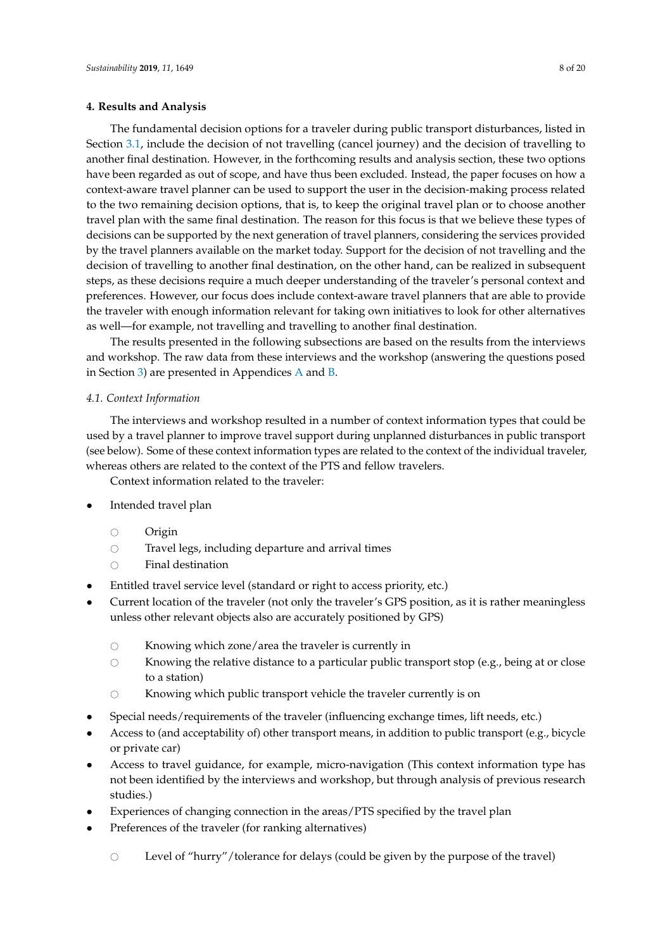#### <span id="page-7-0"></span>**4. Results and Analysis**

The fundamental decision options for a traveler during public transport disturbances, listed in Section [3.1,](#page-4-1) include the decision of not travelling (cancel journey) and the decision of travelling to another final destination. However, in the forthcoming results and analysis section, these two options have been regarded as out of scope, and have thus been excluded. Instead, the paper focuses on how a context-aware travel planner can be used to support the user in the decision-making process related to the two remaining decision options, that is, to keep the original travel plan or to choose another travel plan with the same final destination. The reason for this focus is that we believe these types of decisions can be supported by the next generation of travel planners, considering the services provided by the travel planners available on the market today. Support for the decision of not travelling and the decision of travelling to another final destination, on the other hand, can be realized in subsequent steps, as these decisions require a much deeper understanding of the traveler's personal context and preferences. However, our focus does include context-aware travel planners that are able to provide the traveler with enough information relevant for taking own initiatives to look for other alternatives as well—for example, not travelling and travelling to another final destination.

The results presented in the following subsections are based on the results from the interviews and workshop. The raw data from these interviews and the workshop (answering the questions posed in Section [3\)](#page-4-0) are presented in Appendices [A](#page-15-0) and [B.](#page-16-0)

#### <span id="page-7-1"></span>*4.1. Context Information*

The interviews and workshop resulted in a number of context information types that could be used by a travel planner to improve travel support during unplanned disturbances in public transport (see below). Some of these context information types are related to the context of the individual traveler, whereas others are related to the context of the PTS and fellow travelers.

Context information related to the traveler:

- Intended travel plan
	- $\circ$  Origin
	- Travel legs, including departure and arrival times
	- $\circ$  Final destination
- Entitled travel service level (standard or right to access priority, etc.)
- Current location of the traveler (not only the traveler's GPS position, as it is rather meaningless unless other relevant objects also are accurately positioned by GPS)
	- $\circ$  Knowing which zone/area the traveler is currently in<br> $\circ$  Knowing the relative distance to a particular public tr
	- Knowing the relative distance to a particular public transport stop (e.g., being at or close to a station)
	- $\circ$  Knowing which public transport vehicle the traveler currently is on
- Special needs/requirements of the traveler (influencing exchange times, lift needs, etc.)
- Access to (and acceptability of) other transport means, in addition to public transport (e.g., bicycle or private car)
- Access to travel guidance, for example, micro-navigation (This context information type has not been identified by the interviews and workshop, but through analysis of previous research studies.)
- Experiences of changing connection in the areas/PTS specified by the travel plan
- Preferences of the traveler (for ranking alternatives)
	- $\circ$  Level of "hurry"/tolerance for delays (could be given by the purpose of the travel)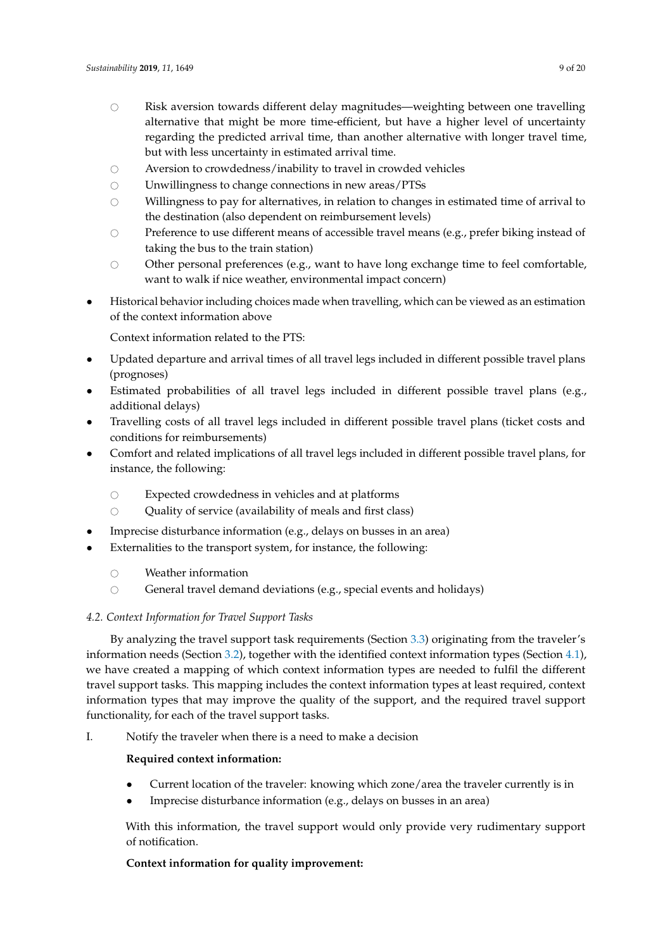- $\circ$  Risk aversion towards different delay magnitudes—weighting between one travelling alternative that might be more time-efficient, but have a higher level of uncertainty regarding the predicted arrival time, than another alternative with longer travel time, but with less uncertainty in estimated arrival time.
- $\circ$  Aversion to crowdedness/inability to travel in crowded vehicles<br> $\circ$  Inwillingness to change connections in new areas/PTSs
- $\circ$  Unwillingness to change connections in new areas/PTSs  $\circ$  Willingness to pay for alternatives, in relation to change
- Willingness to pay for alternatives, in relation to changes in estimated time of arrival to the destination (also dependent on reimbursement levels)
- $\circ$  Preference to use different means of accessible travel means (e.g., prefer biking instead of taking the bus to the train station)
- Other personal preferences (e.g., want to have long exchange time to feel comfortable, want to walk if nice weather, environmental impact concern)
- Historical behavior including choices made when travelling, which can be viewed as an estimation of the context information above

Context information related to the PTS:

- Updated departure and arrival times of all travel legs included in different possible travel plans (prognoses)
- Estimated probabilities of all travel legs included in different possible travel plans (e.g., additional delays)
- Travelling costs of all travel legs included in different possible travel plans (ticket costs and conditions for reimbursements)
- Comfort and related implications of all travel legs included in different possible travel plans, for instance, the following:
	-
	- $\circ$  Expected crowdedness in vehicles and at platforms  $\circ$  Ouality of service (availability of meals and first cla Quality of service (availability of meals and first class)
- Imprecise disturbance information (e.g., delays on busses in an area)
- Externalities to the transport system, for instance, the following:
	- $\circ$  Weather information<br> $\circ$  General travel deman
	- General travel demand deviations (e.g., special events and holidays)

## *4.2. Context Information for Travel Support Tasks*

By analyzing the travel support task requirements (Section [3.3\)](#page-5-0) originating from the traveler's information needs (Section [3.2\)](#page-5-1), together with the identified context information types (Section [4.1\)](#page-7-1), we have created a mapping of which context information types are needed to fulfil the different travel support tasks. This mapping includes the context information types at least required, context information types that may improve the quality of the support, and the required travel support functionality, for each of the travel support tasks.

I. Notify the traveler when there is a need to make a decision

## **Required context information:**

- Current location of the traveler: knowing which zone/area the traveler currently is in
- Imprecise disturbance information (e.g., delays on busses in an area)

With this information, the travel support would only provide very rudimentary support of notification.

# **Context information for quality improvement:**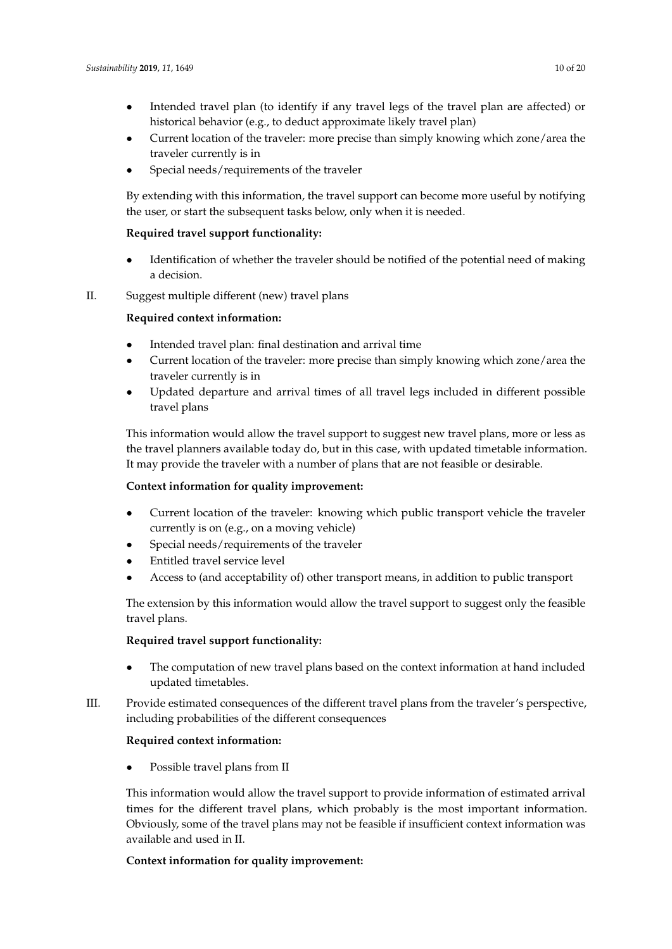- Intended travel plan (to identify if any travel legs of the travel plan are affected) or historical behavior (e.g., to deduct approximate likely travel plan)
- Current location of the traveler: more precise than simply knowing which zone/area the traveler currently is in
- Special needs/requirements of the traveler

By extending with this information, the travel support can become more useful by notifying the user, or start the subsequent tasks below, only when it is needed.

## **Required travel support functionality:**

• Identification of whether the traveler should be notified of the potential need of making a decision.

# II. Suggest multiple different (new) travel plans

# **Required context information:**

- Intended travel plan: final destination and arrival time
- Current location of the traveler: more precise than simply knowing which zone/area the traveler currently is in
- Updated departure and arrival times of all travel legs included in different possible travel plans

This information would allow the travel support to suggest new travel plans, more or less as the travel planners available today do, but in this case, with updated timetable information. It may provide the traveler with a number of plans that are not feasible or desirable.

## **Context information for quality improvement:**

- Current location of the traveler: knowing which public transport vehicle the traveler currently is on (e.g., on a moving vehicle)
- Special needs/requirements of the traveler
- Entitled travel service level
- Access to (and acceptability of) other transport means, in addition to public transport

The extension by this information would allow the travel support to suggest only the feasible travel plans.

## **Required travel support functionality:**

- The computation of new travel plans based on the context information at hand included updated timetables.
- III. Provide estimated consequences of the different travel plans from the traveler's perspective, including probabilities of the different consequences

## **Required context information:**

Possible travel plans from II

This information would allow the travel support to provide information of estimated arrival times for the different travel plans, which probably is the most important information. Obviously, some of the travel plans may not be feasible if insufficient context information was available and used in II.

# **Context information for quality improvement:**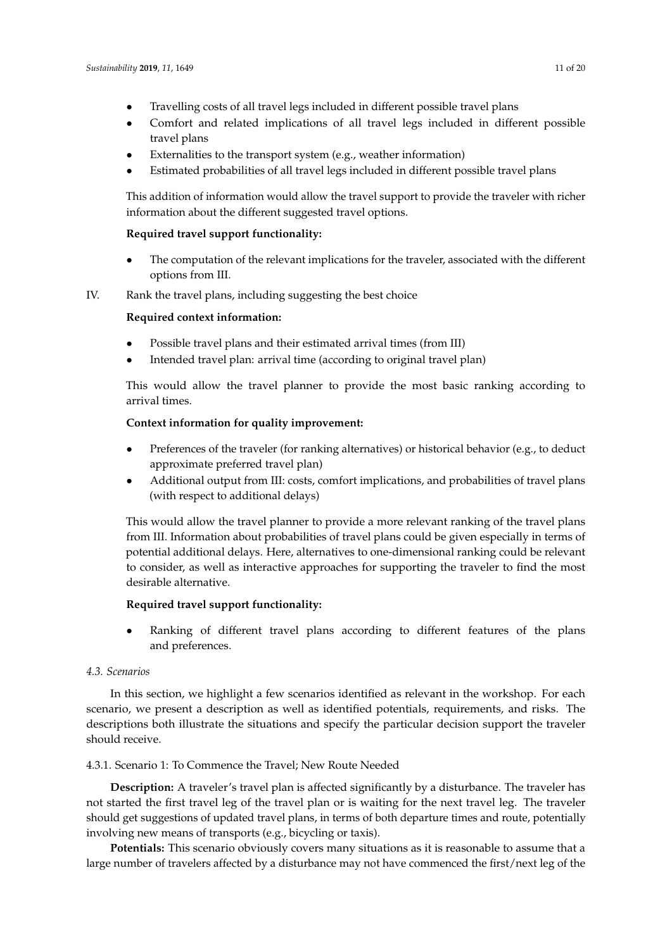- Comfort and related implications of all travel legs included in different possible travel plans
- Externalities to the transport system (e.g., weather information)
- Estimated probabilities of all travel legs included in different possible travel plans

This addition of information would allow the travel support to provide the traveler with richer information about the different suggested travel options.

# **Required travel support functionality:**

• The computation of the relevant implications for the traveler, associated with the different options from III.

IV. Rank the travel plans, including suggesting the best choice

## **Required context information:**

- Possible travel plans and their estimated arrival times (from III)
- Intended travel plan: arrival time (according to original travel plan)

This would allow the travel planner to provide the most basic ranking according to arrival times.

# **Context information for quality improvement:**

- Preferences of the traveler (for ranking alternatives) or historical behavior (e.g., to deduct approximate preferred travel plan)
- Additional output from III: costs, comfort implications, and probabilities of travel plans (with respect to additional delays)

This would allow the travel planner to provide a more relevant ranking of the travel plans from III. Information about probabilities of travel plans could be given especially in terms of potential additional delays. Here, alternatives to one-dimensional ranking could be relevant to consider, as well as interactive approaches for supporting the traveler to find the most desirable alternative.

## **Required travel support functionality:**

• Ranking of different travel plans according to different features of the plans and preferences.

## *4.3. Scenarios*

In this section, we highlight a few scenarios identified as relevant in the workshop. For each scenario, we present a description as well as identified potentials, requirements, and risks. The descriptions both illustrate the situations and specify the particular decision support the traveler should receive.

## 4.3.1. Scenario 1: To Commence the Travel; New Route Needed

**Description:** A traveler's travel plan is affected significantly by a disturbance. The traveler has not started the first travel leg of the travel plan or is waiting for the next travel leg. The traveler should get suggestions of updated travel plans, in terms of both departure times and route, potentially involving new means of transports (e.g., bicycling or taxis).

**Potentials:** This scenario obviously covers many situations as it is reasonable to assume that a large number of travelers affected by a disturbance may not have commenced the first/next leg of the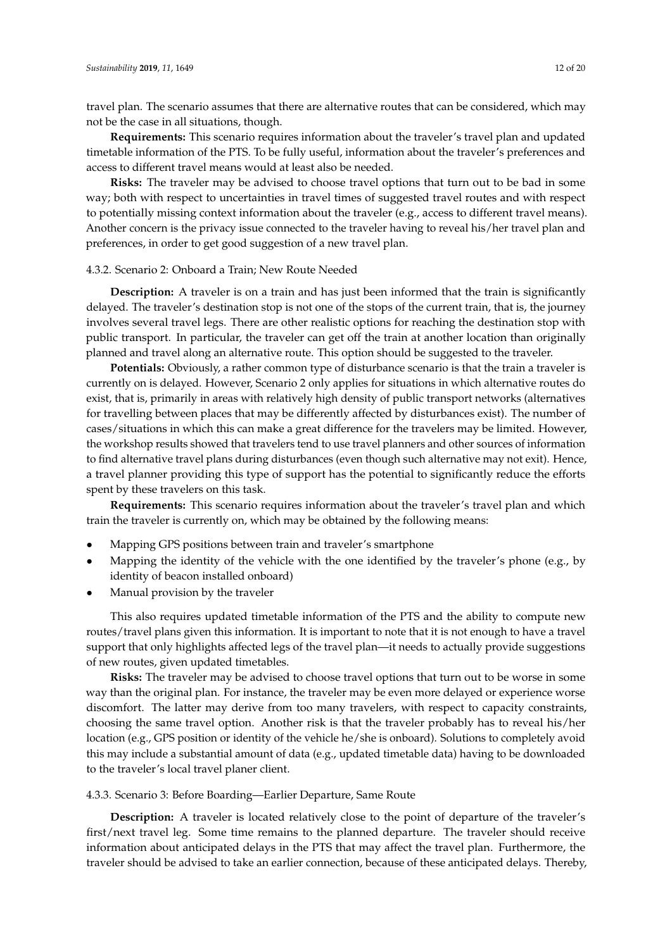travel plan. The scenario assumes that there are alternative routes that can be considered, which may not be the case in all situations, though.

**Requirements:** This scenario requires information about the traveler's travel plan and updated timetable information of the PTS. To be fully useful, information about the traveler's preferences and access to different travel means would at least also be needed.

**Risks:** The traveler may be advised to choose travel options that turn out to be bad in some way; both with respect to uncertainties in travel times of suggested travel routes and with respect to potentially missing context information about the traveler (e.g., access to different travel means). Another concern is the privacy issue connected to the traveler having to reveal his/her travel plan and preferences, in order to get good suggestion of a new travel plan.

#### 4.3.2. Scenario 2: Onboard a Train; New Route Needed

**Description:** A traveler is on a train and has just been informed that the train is significantly delayed. The traveler's destination stop is not one of the stops of the current train, that is, the journey involves several travel legs. There are other realistic options for reaching the destination stop with public transport. In particular, the traveler can get off the train at another location than originally planned and travel along an alternative route. This option should be suggested to the traveler.

**Potentials:** Obviously, a rather common type of disturbance scenario is that the train a traveler is currently on is delayed. However, Scenario 2 only applies for situations in which alternative routes do exist, that is, primarily in areas with relatively high density of public transport networks (alternatives for travelling between places that may be differently affected by disturbances exist). The number of cases/situations in which this can make a great difference for the travelers may be limited. However, the workshop results showed that travelers tend to use travel planners and other sources of information to find alternative travel plans during disturbances (even though such alternative may not exit). Hence, a travel planner providing this type of support has the potential to significantly reduce the efforts spent by these travelers on this task.

**Requirements:** This scenario requires information about the traveler's travel plan and which train the traveler is currently on, which may be obtained by the following means:

- Mapping GPS positions between train and traveler's smartphone
- Mapping the identity of the vehicle with the one identified by the traveler's phone (e.g., by identity of beacon installed onboard)
- Manual provision by the traveler

This also requires updated timetable information of the PTS and the ability to compute new routes/travel plans given this information. It is important to note that it is not enough to have a travel support that only highlights affected legs of the travel plan—it needs to actually provide suggestions of new routes, given updated timetables.

**Risks:** The traveler may be advised to choose travel options that turn out to be worse in some way than the original plan. For instance, the traveler may be even more delayed or experience worse discomfort. The latter may derive from too many travelers, with respect to capacity constraints, choosing the same travel option. Another risk is that the traveler probably has to reveal his/her location (e.g., GPS position or identity of the vehicle he/she is onboard). Solutions to completely avoid this may include a substantial amount of data (e.g., updated timetable data) having to be downloaded to the traveler's local travel planer client.

4.3.3. Scenario 3: Before Boarding—Earlier Departure, Same Route

**Description:** A traveler is located relatively close to the point of departure of the traveler's first/next travel leg. Some time remains to the planned departure. The traveler should receive information about anticipated delays in the PTS that may affect the travel plan. Furthermore, the traveler should be advised to take an earlier connection, because of these anticipated delays. Thereby,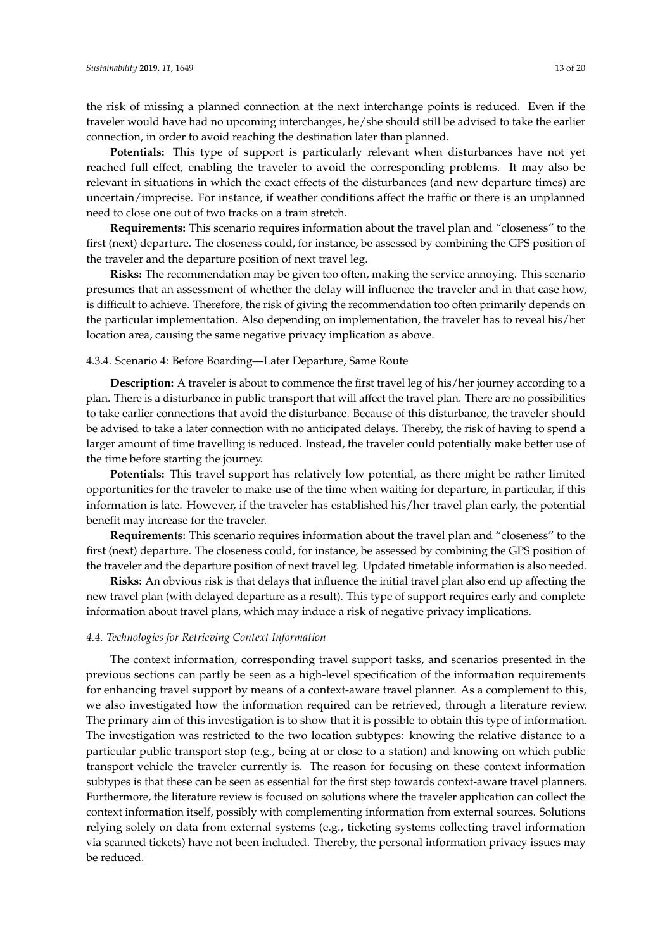the risk of missing a planned connection at the next interchange points is reduced. Even if the traveler would have had no upcoming interchanges, he/she should still be advised to take the earlier connection, in order to avoid reaching the destination later than planned.

**Potentials:** This type of support is particularly relevant when disturbances have not yet reached full effect, enabling the traveler to avoid the corresponding problems. It may also be relevant in situations in which the exact effects of the disturbances (and new departure times) are uncertain/imprecise. For instance, if weather conditions affect the traffic or there is an unplanned need to close one out of two tracks on a train stretch.

**Requirements:** This scenario requires information about the travel plan and "closeness" to the first (next) departure. The closeness could, for instance, be assessed by combining the GPS position of the traveler and the departure position of next travel leg.

**Risks:** The recommendation may be given too often, making the service annoying. This scenario presumes that an assessment of whether the delay will influence the traveler and in that case how, is difficult to achieve. Therefore, the risk of giving the recommendation too often primarily depends on the particular implementation. Also depending on implementation, the traveler has to reveal his/her location area, causing the same negative privacy implication as above.

#### 4.3.4. Scenario 4: Before Boarding—Later Departure, Same Route

**Description:** A traveler is about to commence the first travel leg of his/her journey according to a plan. There is a disturbance in public transport that will affect the travel plan. There are no possibilities to take earlier connections that avoid the disturbance. Because of this disturbance, the traveler should be advised to take a later connection with no anticipated delays. Thereby, the risk of having to spend a larger amount of time travelling is reduced. Instead, the traveler could potentially make better use of the time before starting the journey.

**Potentials:** This travel support has relatively low potential, as there might be rather limited opportunities for the traveler to make use of the time when waiting for departure, in particular, if this information is late. However, if the traveler has established his/her travel plan early, the potential benefit may increase for the traveler.

**Requirements:** This scenario requires information about the travel plan and "closeness" to the first (next) departure. The closeness could, for instance, be assessed by combining the GPS position of the traveler and the departure position of next travel leg. Updated timetable information is also needed.

**Risks:** An obvious risk is that delays that influence the initial travel plan also end up affecting the new travel plan (with delayed departure as a result). This type of support requires early and complete information about travel plans, which may induce a risk of negative privacy implications.

#### *4.4. Technologies for Retrieving Context Information*

The context information, corresponding travel support tasks, and scenarios presented in the previous sections can partly be seen as a high-level specification of the information requirements for enhancing travel support by means of a context-aware travel planner. As a complement to this, we also investigated how the information required can be retrieved, through a literature review. The primary aim of this investigation is to show that it is possible to obtain this type of information. The investigation was restricted to the two location subtypes: knowing the relative distance to a particular public transport stop (e.g., being at or close to a station) and knowing on which public transport vehicle the traveler currently is. The reason for focusing on these context information subtypes is that these can be seen as essential for the first step towards context-aware travel planners. Furthermore, the literature review is focused on solutions where the traveler application can collect the context information itself, possibly with complementing information from external sources. Solutions relying solely on data from external systems (e.g., ticketing systems collecting travel information via scanned tickets) have not been included. Thereby, the personal information privacy issues may be reduced.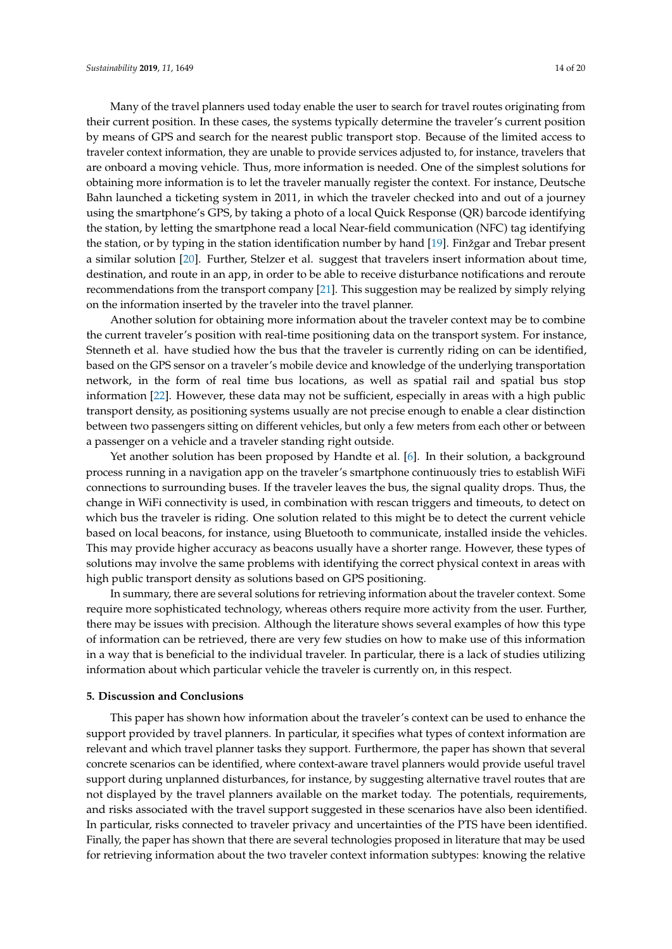Many of the travel planners used today enable the user to search for travel routes originating from their current position. In these cases, the systems typically determine the traveler's current position by means of GPS and search for the nearest public transport stop. Because of the limited access to traveler context information, they are unable to provide services adjusted to, for instance, travelers that are onboard a moving vehicle. Thus, more information is needed. One of the simplest solutions for obtaining more information is to let the traveler manually register the context. For instance, Deutsche Bahn launched a ticketing system in 2011, in which the traveler checked into and out of a journey using the smartphone's GPS, by taking a photo of a local Quick Response (QR) barcode identifying the station, by letting the smartphone read a local Near-field communication (NFC) tag identifying the station, or by typing in the station identification number by hand [\[19\]](#page-19-4). Finžgar and Trebar present a similar solution [\[20\]](#page-19-5). Further, Stelzer et al. suggest that travelers insert information about time, destination, and route in an app, in order to be able to receive disturbance notifications and reroute recommendations from the transport company [\[21\]](#page-19-6). This suggestion may be realized by simply relying on the information inserted by the traveler into the travel planner.

Another solution for obtaining more information about the traveler context may be to combine the current traveler's position with real-time positioning data on the transport system. For instance, Stenneth et al. have studied how the bus that the traveler is currently riding on can be identified, based on the GPS sensor on a traveler's mobile device and knowledge of the underlying transportation network, in the form of real time bus locations, as well as spatial rail and spatial bus stop information [\[22\]](#page-19-7). However, these data may not be sufficient, especially in areas with a high public transport density, as positioning systems usually are not precise enough to enable a clear distinction between two passengers sitting on different vehicles, but only a few meters from each other or between a passenger on a vehicle and a traveler standing right outside.

Yet another solution has been proposed by Handte et al. [\[6\]](#page-18-5). In their solution, a background process running in a navigation app on the traveler's smartphone continuously tries to establish WiFi connections to surrounding buses. If the traveler leaves the bus, the signal quality drops. Thus, the change in WiFi connectivity is used, in combination with rescan triggers and timeouts, to detect on which bus the traveler is riding. One solution related to this might be to detect the current vehicle based on local beacons, for instance, using Bluetooth to communicate, installed inside the vehicles. This may provide higher accuracy as beacons usually have a shorter range. However, these types of solutions may involve the same problems with identifying the correct physical context in areas with high public transport density as solutions based on GPS positioning.

In summary, there are several solutions for retrieving information about the traveler context. Some require more sophisticated technology, whereas others require more activity from the user. Further, there may be issues with precision. Although the literature shows several examples of how this type of information can be retrieved, there are very few studies on how to make use of this information in a way that is beneficial to the individual traveler. In particular, there is a lack of studies utilizing information about which particular vehicle the traveler is currently on, in this respect.

#### <span id="page-13-0"></span>**5. Discussion and Conclusions**

This paper has shown how information about the traveler's context can be used to enhance the support provided by travel planners. In particular, it specifies what types of context information are relevant and which travel planner tasks they support. Furthermore, the paper has shown that several concrete scenarios can be identified, where context-aware travel planners would provide useful travel support during unplanned disturbances, for instance, by suggesting alternative travel routes that are not displayed by the travel planners available on the market today. The potentials, requirements, and risks associated with the travel support suggested in these scenarios have also been identified. In particular, risks connected to traveler privacy and uncertainties of the PTS have been identified. Finally, the paper has shown that there are several technologies proposed in literature that may be used for retrieving information about the two traveler context information subtypes: knowing the relative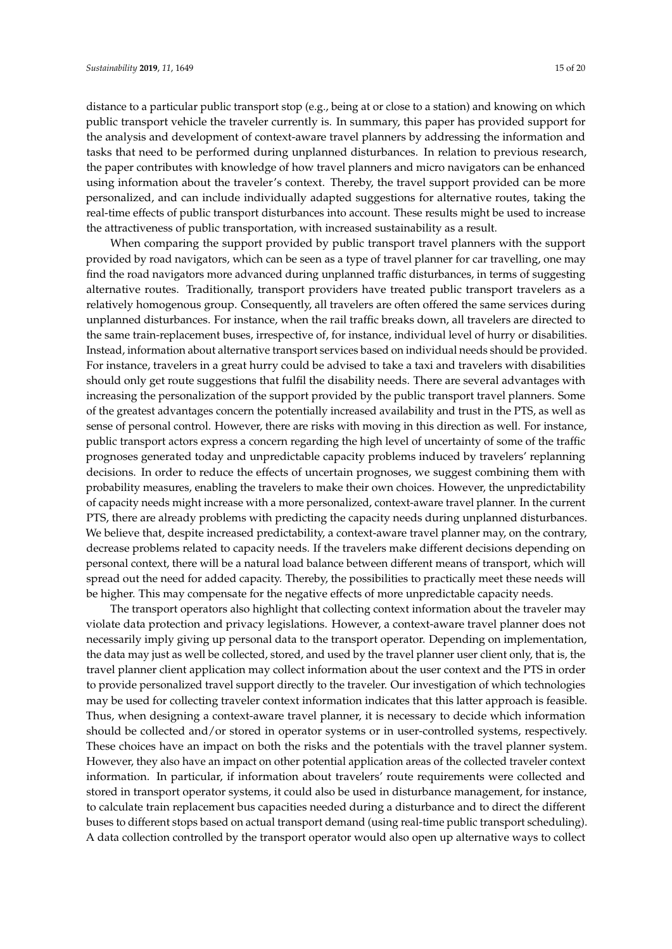distance to a particular public transport stop (e.g., being at or close to a station) and knowing on which public transport vehicle the traveler currently is. In summary, this paper has provided support for the analysis and development of context-aware travel planners by addressing the information and tasks that need to be performed during unplanned disturbances. In relation to previous research, the paper contributes with knowledge of how travel planners and micro navigators can be enhanced using information about the traveler's context. Thereby, the travel support provided can be more personalized, and can include individually adapted suggestions for alternative routes, taking the real-time effects of public transport disturbances into account. These results might be used to increase the attractiveness of public transportation, with increased sustainability as a result.

When comparing the support provided by public transport travel planners with the support provided by road navigators, which can be seen as a type of travel planner for car travelling, one may find the road navigators more advanced during unplanned traffic disturbances, in terms of suggesting alternative routes. Traditionally, transport providers have treated public transport travelers as a relatively homogenous group. Consequently, all travelers are often offered the same services during unplanned disturbances. For instance, when the rail traffic breaks down, all travelers are directed to the same train-replacement buses, irrespective of, for instance, individual level of hurry or disabilities. Instead, information about alternative transport services based on individual needs should be provided. For instance, travelers in a great hurry could be advised to take a taxi and travelers with disabilities should only get route suggestions that fulfil the disability needs. There are several advantages with increasing the personalization of the support provided by the public transport travel planners. Some of the greatest advantages concern the potentially increased availability and trust in the PTS, as well as sense of personal control. However, there are risks with moving in this direction as well. For instance, public transport actors express a concern regarding the high level of uncertainty of some of the traffic prognoses generated today and unpredictable capacity problems induced by travelers' replanning decisions. In order to reduce the effects of uncertain prognoses, we suggest combining them with probability measures, enabling the travelers to make their own choices. However, the unpredictability of capacity needs might increase with a more personalized, context-aware travel planner. In the current PTS, there are already problems with predicting the capacity needs during unplanned disturbances. We believe that, despite increased predictability, a context-aware travel planner may, on the contrary, decrease problems related to capacity needs. If the travelers make different decisions depending on personal context, there will be a natural load balance between different means of transport, which will spread out the need for added capacity. Thereby, the possibilities to practically meet these needs will be higher. This may compensate for the negative effects of more unpredictable capacity needs.

The transport operators also highlight that collecting context information about the traveler may violate data protection and privacy legislations. However, a context-aware travel planner does not necessarily imply giving up personal data to the transport operator. Depending on implementation, the data may just as well be collected, stored, and used by the travel planner user client only, that is, the travel planner client application may collect information about the user context and the PTS in order to provide personalized travel support directly to the traveler. Our investigation of which technologies may be used for collecting traveler context information indicates that this latter approach is feasible. Thus, when designing a context-aware travel planner, it is necessary to decide which information should be collected and/or stored in operator systems or in user-controlled systems, respectively. These choices have an impact on both the risks and the potentials with the travel planner system. However, they also have an impact on other potential application areas of the collected traveler context information. In particular, if information about travelers' route requirements were collected and stored in transport operator systems, it could also be used in disturbance management, for instance, to calculate train replacement bus capacities needed during a disturbance and to direct the different buses to different stops based on actual transport demand (using real-time public transport scheduling). A data collection controlled by the transport operator would also open up alternative ways to collect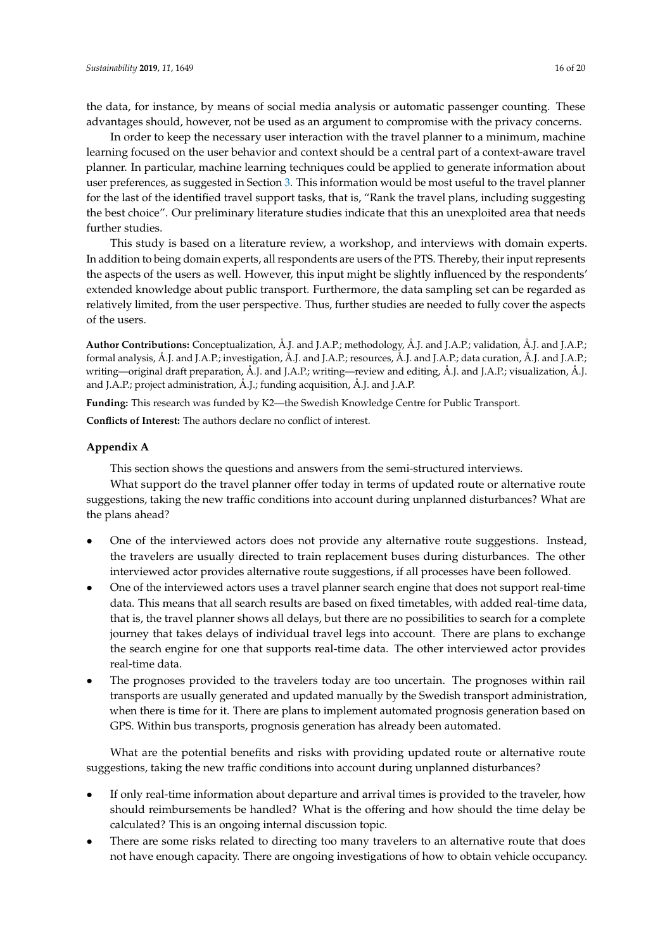the data, for instance, by means of social media analysis or automatic passenger counting. These advantages should, however, not be used as an argument to compromise with the privacy concerns.

In order to keep the necessary user interaction with the travel planner to a minimum, machine learning focused on the user behavior and context should be a central part of a context-aware travel planner. In particular, machine learning techniques could be applied to generate information about user preferences, as suggested in Section [3.](#page-4-0) This information would be most useful to the travel planner for the last of the identified travel support tasks, that is, "Rank the travel plans, including suggesting the best choice". Our preliminary literature studies indicate that this an unexploited area that needs further studies.

This study is based on a literature review, a workshop, and interviews with domain experts. In addition to being domain experts, all respondents are users of the PTS. Thereby, their input represents the aspects of the users as well. However, this input might be slightly influenced by the respondents' extended knowledge about public transport. Furthermore, the data sampling set can be regarded as relatively limited, from the user perspective. Thus, further studies are needed to fully cover the aspects of the users.

**Author Contributions:** Conceptualization, Å.J. and J.A.P.; methodology, Å.J. and J.A.P.; validation, Å.J. and J.A.P.; formal analysis, Å.J. and J.A.P.; investigation, Å.J. and J.A.P.; resources, Å.J. and J.A.P.; data curation, Å.J. and J.A.P.; writing—original draft preparation, Å.J. and J.A.P.; writing—review and editing, Å.J. and J.A.P.; visualization, Å.J. and J.A.P.; project administration, Å.J.; funding acquisition, Å.J. and J.A.P.

**Funding:** This research was funded by K2—the Swedish Knowledge Centre for Public Transport.

**Conflicts of Interest:** The authors declare no conflict of interest.

## <span id="page-15-0"></span>**Appendix A**

This section shows the questions and answers from the semi-structured interviews.

What support do the travel planner offer today in terms of updated route or alternative route suggestions, taking the new traffic conditions into account during unplanned disturbances? What are the plans ahead?

- One of the interviewed actors does not provide any alternative route suggestions. Instead, the travelers are usually directed to train replacement buses during disturbances. The other interviewed actor provides alternative route suggestions, if all processes have been followed.
- One of the interviewed actors uses a travel planner search engine that does not support real-time data. This means that all search results are based on fixed timetables, with added real-time data, that is, the travel planner shows all delays, but there are no possibilities to search for a complete journey that takes delays of individual travel legs into account. There are plans to exchange the search engine for one that supports real-time data. The other interviewed actor provides real-time data.
- The prognoses provided to the travelers today are too uncertain. The prognoses within rail transports are usually generated and updated manually by the Swedish transport administration, when there is time for it. There are plans to implement automated prognosis generation based on GPS. Within bus transports, prognosis generation has already been automated.

What are the potential benefits and risks with providing updated route or alternative route suggestions, taking the new traffic conditions into account during unplanned disturbances?

- If only real-time information about departure and arrival times is provided to the traveler, how should reimbursements be handled? What is the offering and how should the time delay be calculated? This is an ongoing internal discussion topic.
- There are some risks related to directing too many travelers to an alternative route that does not have enough capacity. There are ongoing investigations of how to obtain vehicle occupancy.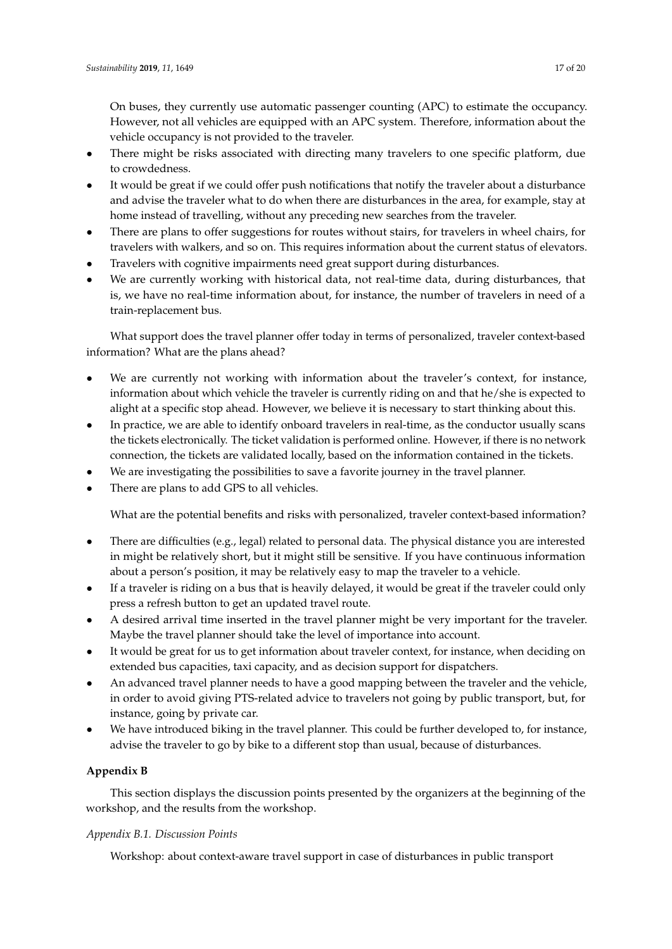On buses, they currently use automatic passenger counting (APC) to estimate the occupancy. However, not all vehicles are equipped with an APC system. Therefore, information about the vehicle occupancy is not provided to the traveler.

- There might be risks associated with directing many travelers to one specific platform, due to crowdedness.
- It would be great if we could offer push notifications that notify the traveler about a disturbance and advise the traveler what to do when there are disturbances in the area, for example, stay at home instead of travelling, without any preceding new searches from the traveler.
- There are plans to offer suggestions for routes without stairs, for travelers in wheel chairs, for travelers with walkers, and so on. This requires information about the current status of elevators.
- Travelers with cognitive impairments need great support during disturbances.
- We are currently working with historical data, not real-time data, during disturbances, that is, we have no real-time information about, for instance, the number of travelers in need of a train-replacement bus.

What support does the travel planner offer today in terms of personalized, traveler context-based information? What are the plans ahead?

- We are currently not working with information about the traveler's context, for instance, information about which vehicle the traveler is currently riding on and that he/she is expected to alight at a specific stop ahead. However, we believe it is necessary to start thinking about this.
- In practice, we are able to identify onboard travelers in real-time, as the conductor usually scans the tickets electronically. The ticket validation is performed online. However, if there is no network connection, the tickets are validated locally, based on the information contained in the tickets.
- We are investigating the possibilities to save a favorite journey in the travel planner.
- There are plans to add GPS to all vehicles.

What are the potential benefits and risks with personalized, traveler context-based information?

- There are difficulties (e.g., legal) related to personal data. The physical distance you are interested in might be relatively short, but it might still be sensitive. If you have continuous information about a person's position, it may be relatively easy to map the traveler to a vehicle.
- If a traveler is riding on a bus that is heavily delayed, it would be great if the traveler could only press a refresh button to get an updated travel route.
- A desired arrival time inserted in the travel planner might be very important for the traveler. Maybe the travel planner should take the level of importance into account.
- It would be great for us to get information about traveler context, for instance, when deciding on extended bus capacities, taxi capacity, and as decision support for dispatchers.
- An advanced travel planner needs to have a good mapping between the traveler and the vehicle, in order to avoid giving PTS-related advice to travelers not going by public transport, but, for instance, going by private car.
- We have introduced biking in the travel planner. This could be further developed to, for instance, advise the traveler to go by bike to a different stop than usual, because of disturbances.

# <span id="page-16-0"></span>**Appendix B**

This section displays the discussion points presented by the organizers at the beginning of the workshop, and the results from the workshop.

## *Appendix B.1. Discussion Points*

Workshop: about context-aware travel support in case of disturbances in public transport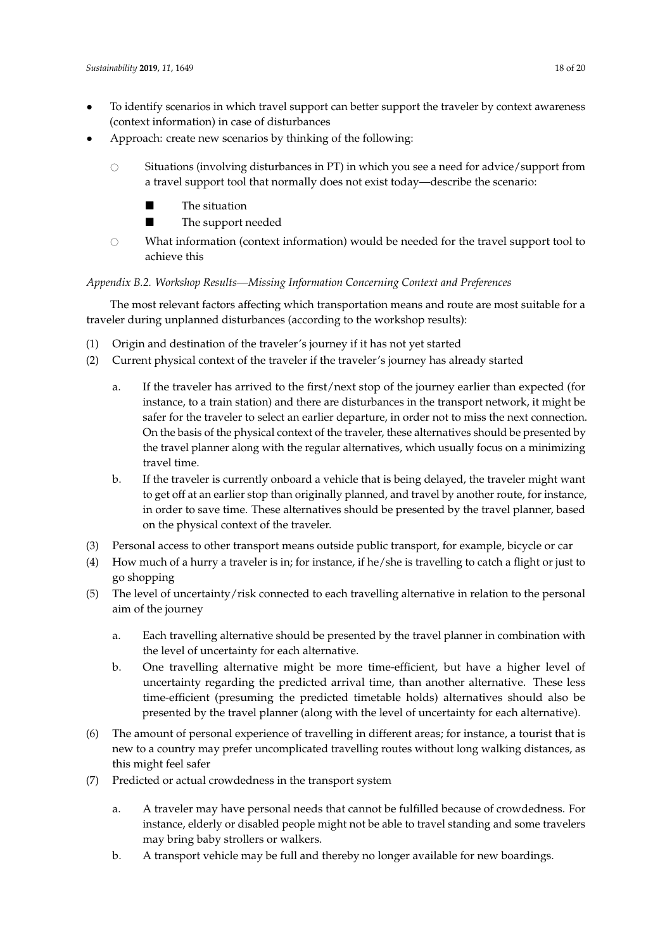- To identify scenarios in which travel support can better support the traveler by context awareness (context information) in case of disturbances
- Approach: create new scenarios by thinking of the following:
	- $\circ$  Situations (involving disturbances in PT) in which you see a need for advice/support from a travel support tool that normally does not exist today—describe the scenario:
		- **The situation**
		- **The support needed**
	- $\circ$  What information (context information) would be needed for the travel support tool to achieve this

# *Appendix B.2. Workshop Results—Missing Information Concerning Context and Preferences*

The most relevant factors affecting which transportation means and route are most suitable for a traveler during unplanned disturbances (according to the workshop results):

- (1) Origin and destination of the traveler's journey if it has not yet started
- (2) Current physical context of the traveler if the traveler's journey has already started
	- a. If the traveler has arrived to the first/next stop of the journey earlier than expected (for instance, to a train station) and there are disturbances in the transport network, it might be safer for the traveler to select an earlier departure, in order not to miss the next connection. On the basis of the physical context of the traveler, these alternatives should be presented by the travel planner along with the regular alternatives, which usually focus on a minimizing travel time.
	- b. If the traveler is currently onboard a vehicle that is being delayed, the traveler might want to get off at an earlier stop than originally planned, and travel by another route, for instance, in order to save time. These alternatives should be presented by the travel planner, based on the physical context of the traveler.
- (3) Personal access to other transport means outside public transport, for example, bicycle or car
- (4) How much of a hurry a traveler is in; for instance, if he/she is travelling to catch a flight or just to go shopping
- (5) The level of uncertainty/risk connected to each travelling alternative in relation to the personal aim of the journey
	- a. Each travelling alternative should be presented by the travel planner in combination with the level of uncertainty for each alternative.
	- b. One travelling alternative might be more time-efficient, but have a higher level of uncertainty regarding the predicted arrival time, than another alternative. These less time-efficient (presuming the predicted timetable holds) alternatives should also be presented by the travel planner (along with the level of uncertainty for each alternative).
- (6) The amount of personal experience of travelling in different areas; for instance, a tourist that is new to a country may prefer uncomplicated travelling routes without long walking distances, as this might feel safer
- (7) Predicted or actual crowdedness in the transport system
	- a. A traveler may have personal needs that cannot be fulfilled because of crowdedness. For instance, elderly or disabled people might not be able to travel standing and some travelers may bring baby strollers or walkers.
	- b. A transport vehicle may be full and thereby no longer available for new boardings.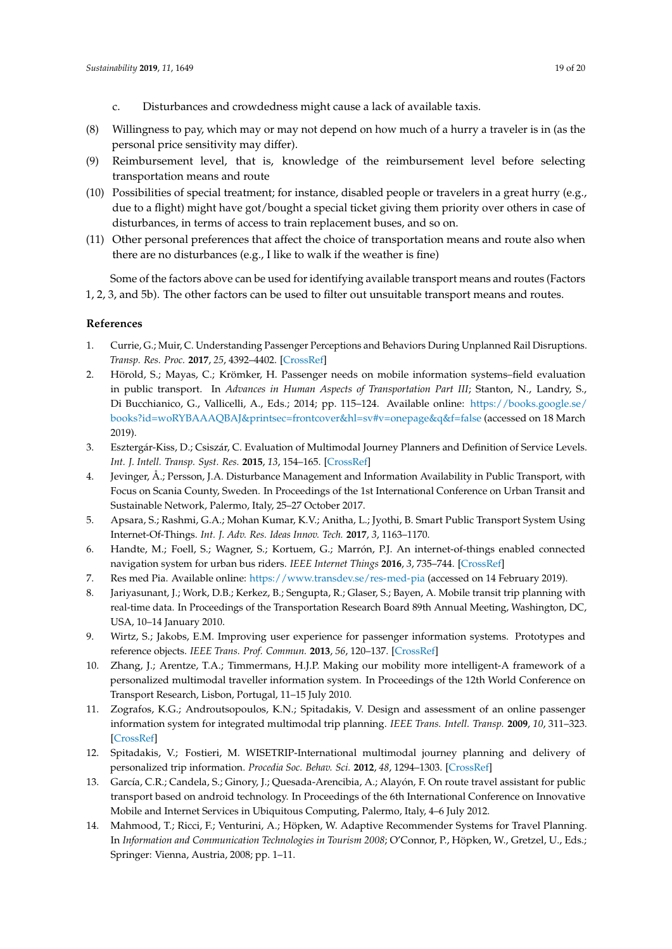- c. Disturbances and crowdedness might cause a lack of available taxis.
- (8) Willingness to pay, which may or may not depend on how much of a hurry a traveler is in (as the personal price sensitivity may differ).
- (9) Reimbursement level, that is, knowledge of the reimbursement level before selecting transportation means and route
- (10) Possibilities of special treatment; for instance, disabled people or travelers in a great hurry (e.g., due to a flight) might have got/bought a special ticket giving them priority over others in case of disturbances, in terms of access to train replacement buses, and so on.
- (11) Other personal preferences that affect the choice of transportation means and route also when there are no disturbances (e.g., I like to walk if the weather is fine)

Some of the factors above can be used for identifying available transport means and routes (Factors 1, 2, 3, and 5b). The other factors can be used to filter out unsuitable transport means and routes.

#### **References**

- <span id="page-18-0"></span>1. Currie, G.; Muir, C. Understanding Passenger Perceptions and Behaviors During Unplanned Rail Disruptions. *Transp. Res. Proc.* **2017**, *25*, 4392–4402. [\[CrossRef\]](http://dx.doi.org/10.1016/j.trpro.2017.05.322)
- <span id="page-18-1"></span>2. Hörold, S.; Mayas, C.; Krömker, H. Passenger needs on mobile information systems–field evaluation in public transport. In *Advances in Human Aspects of Transportation Part III*; Stanton, N., Landry, S., Di Bucchianico, G., Vallicelli, A., Eds.; 2014; pp. 115–124. Available online: [https://books.google.se/](https://books.google.se/books?id=woRYBAAAQBAJ&printsec=frontcover&hl=sv#v=onepage&q&f=false) [books?id=woRYBAAAQBAJ&printsec=frontcover&hl=sv#v=onepage&q&f=false](https://books.google.se/books?id=woRYBAAAQBAJ&printsec=frontcover&hl=sv#v=onepage&q&f=false) (accessed on 18 March 2019).
- <span id="page-18-2"></span>3. Esztergár-Kiss, D.; Csiszár, C. Evaluation of Multimodal Journey Planners and Definition of Service Levels. *Int. J. Intell. Transp. Syst. Res.* **2015**, *13*, 154–165. [\[CrossRef\]](http://dx.doi.org/10.1007/s13177-014-0093-0)
- <span id="page-18-3"></span>4. Jevinger, Å.; Persson, J.A. Disturbance Management and Information Availability in Public Transport, with Focus on Scania County, Sweden. In Proceedings of the 1st International Conference on Urban Transit and Sustainable Network, Palermo, Italy, 25–27 October 2017.
- <span id="page-18-4"></span>5. Apsara, S.; Rashmi, G.A.; Mohan Kumar, K.V.; Anitha, L.; Jyothi, B. Smart Public Transport System Using Internet-Of-Things. *Int. J. Adv. Res. Ideas Innov. Tech.* **2017**, *3*, 1163–1170.
- <span id="page-18-5"></span>6. Handte, M.; Foell, S.; Wagner, S.; Kortuem, G.; Marrón, P.J. An internet-of-things enabled connected navigation system for urban bus riders. *IEEE Internet Things* **2016**, *3*, 735–744. [\[CrossRef\]](http://dx.doi.org/10.1109/JIOT.2016.2554146)
- <span id="page-18-6"></span>7. Res med Pia. Available online: <https://www.transdev.se/res-med-pia> (accessed on 14 February 2019).
- <span id="page-18-7"></span>8. Jariyasunant, J.; Work, D.B.; Kerkez, B.; Sengupta, R.; Glaser, S.; Bayen, A. Mobile transit trip planning with real-time data. In Proceedings of the Transportation Research Board 89th Annual Meeting, Washington, DC, USA, 10–14 January 2010.
- <span id="page-18-8"></span>9. Wirtz, S.; Jakobs, E.M. Improving user experience for passenger information systems. Prototypes and reference objects. *IEEE Trans. Prof. Commun.* **2013**, *56*, 120–137. [\[CrossRef\]](http://dx.doi.org/10.1109/TPC.2013.2257211)
- <span id="page-18-9"></span>10. Zhang, J.; Arentze, T.A.; Timmermans, H.J.P. Making our mobility more intelligent-A framework of a personalized multimodal traveller information system. In Proceedings of the 12th World Conference on Transport Research, Lisbon, Portugal, 11–15 July 2010.
- <span id="page-18-10"></span>11. Zografos, K.G.; Androutsopoulos, K.N.; Spitadakis, V. Design and assessment of an online passenger information system for integrated multimodal trip planning. *IEEE Trans. Intell. Transp.* **2009**, *10*, 311–323. [\[CrossRef\]](http://dx.doi.org/10.1109/TITS.2009.2020198)
- <span id="page-18-11"></span>12. Spitadakis, V.; Fostieri, M. WISETRIP-International multimodal journey planning and delivery of personalized trip information. *Procedia Soc. Behav. Sci.* **2012**, *48*, 1294–1303. [\[CrossRef\]](http://dx.doi.org/10.1016/j.sbspro.2012.06.1105)
- <span id="page-18-12"></span>13. García, C.R.; Candela, S.; Ginory, J.; Quesada-Arencibia, A.; Alayón, F. On route travel assistant for public transport based on android technology. In Proceedings of the 6th International Conference on Innovative Mobile and Internet Services in Ubiquitous Computing, Palermo, Italy, 4–6 July 2012.
- <span id="page-18-13"></span>14. Mahmood, T.; Ricci, F.; Venturini, A.; Höpken, W. Adaptive Recommender Systems for Travel Planning. In *Information and Communication Technologies in Tourism 2008*; O'Connor, P., Höpken, W., Gretzel, U., Eds.; Springer: Vienna, Austria, 2008; pp. 1–11.